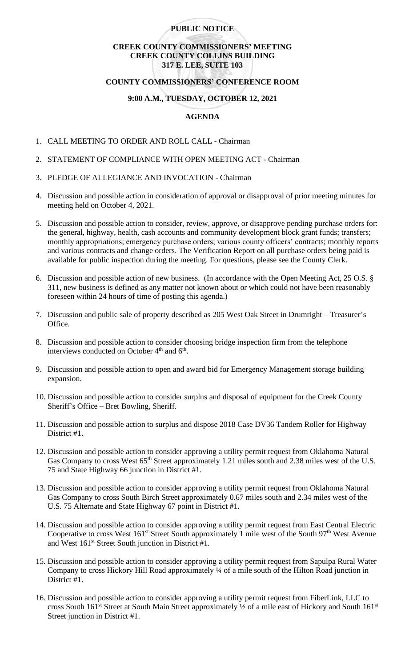# **PUBLIC NOTICE**

# **CREEK COUNTY COMMISSIONERS' MEETING CREEK COUNTY COLLINS BUILDING 317 E. LEE, SUITE 103**

# **COUNTY COMMISSIONERS' CONFERENCE ROOM**

# **9:00 A.M., TUESDAY, OCTOBER 12, 2021**

# **AGENDA**

- 1. CALL MEETING TO ORDER AND ROLL CALL Chairman
- 2. STATEMENT OF COMPLIANCE WITH OPEN MEETING ACT Chairman
- 3. PLEDGE OF ALLEGIANCE AND INVOCATION Chairman
- 4. Discussion and possible action in consideration of approval or disapproval of prior meeting minutes for meeting held on October 4, 2021.
- 5. Discussion and possible action to consider, review, approve, or disapprove pending purchase orders for: the general, highway, health, cash accounts and community development block grant funds; transfers; monthly appropriations; emergency purchase orders; various county officers' contracts; monthly reports and various contracts and change orders. The Verification Report on all purchase orders being paid is available for public inspection during the meeting. For questions, please see the County Clerk.
- 6. Discussion and possible action of new business. (In accordance with the Open Meeting Act, 25 O.S. § 311, new business is defined as any matter not known about or which could not have been reasonably foreseen within 24 hours of time of posting this agenda.)
- 7. Discussion and public sale of property described as 205 West Oak Street in Drumright Treasurer's Office.
- 8. Discussion and possible action to consider choosing bridge inspection firm from the telephone interviews conducted on October  $4<sup>th</sup>$  and  $6<sup>th</sup>$ .
- 9. Discussion and possible action to open and award bid for Emergency Management storage building expansion.
- 10. Discussion and possible action to consider surplus and disposal of equipment for the Creek County Sheriff's Office – Bret Bowling, Sheriff.
- 11. Discussion and possible action to surplus and dispose 2018 Case DV36 Tandem Roller for Highway District #1.
- 12. Discussion and possible action to consider approving a utility permit request from Oklahoma Natural Gas Company to cross West 65<sup>th</sup> Street approximately 1.21 miles south and 2.38 miles west of the U.S. 75 and State Highway 66 junction in District #1.
- 13. Discussion and possible action to consider approving a utility permit request from Oklahoma Natural Gas Company to cross South Birch Street approximately 0.67 miles south and 2.34 miles west of the U.S. 75 Alternate and State Highway 67 point in District #1.
- 14. Discussion and possible action to consider approving a utility permit request from East Central Electric Cooperative to cross West 161<sup>st</sup> Street South approximately 1 mile west of the South 97<sup>th</sup> West Avenue and West 161<sup>st</sup> Street South junction in District #1.
- 15. Discussion and possible action to consider approving a utility permit request from Sapulpa Rural Water Company to cross Hickory Hill Road approximately ¼ of a mile south of the Hilton Road junction in District #1.
- 16. Discussion and possible action to consider approving a utility permit request from FiberLink, LLC to cross South 161<sup>st</sup> Street at South Main Street approximately  $\frac{1}{2}$  of a mile east of Hickory and South 161<sup>st</sup> Street junction in District #1.